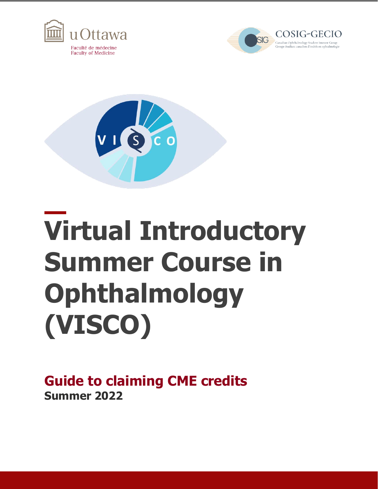





## **Virtual Introductory Summer Course in Ophthalmology (VISCO)**

**Guide to claiming CME credits Summer 2022**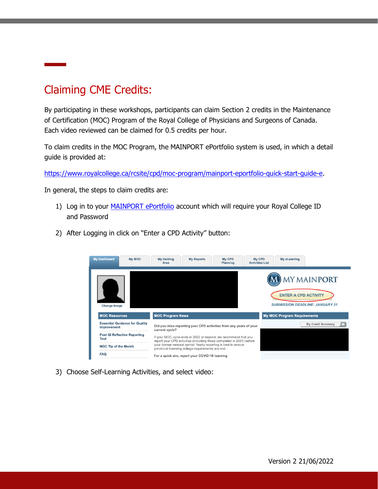## Claiming CME Credits:

By participating in these workshops, participants can claim Section 2 credits in the Maintenance of Certification (MOC) Program of the Royal College of Physicians and Surgeons of Canada. Each video reviewed can be claimed for 0.5 credits per hour.

To claim credits in the MOC Program, the MAINPORT ePortfolio system is used, in which a detail guide is provided at:

[https://www.royalcollege.ca/rcsite/cpd/moc-program/mainport-eportfolio-quick-start-guide-e.](https://www.royalcollege.ca/rcsite/cpd/moc-program/mainport-eportfolio-quick-start-guide-e)

In general, the steps to claim credits are:

- 1) Log in to your [MAINPORT ePortfolio](http://mainport.royalcollege.ca/) account which will require your Royal College ID and Password
- 2) After Logging in click on "Enter a CPD Activity" button:



3) Choose Self-Learning Activities, and select video: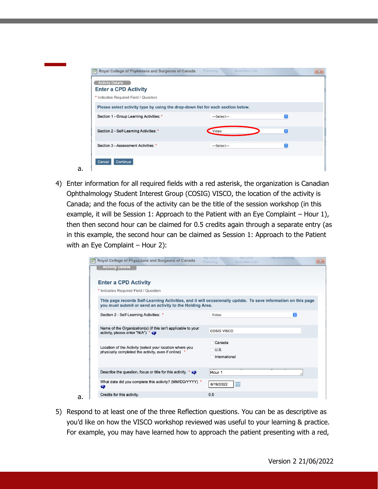| <b>Activity Details</b><br><b>Enter a CPD Activity</b>                          |                |   |
|---------------------------------------------------------------------------------|----------------|---|
| * Indicates Required Field / Question                                           |                |   |
| Please select activity type by using the drop-down list for each section below. |                |   |
| Section 1 - Group Learning Activities: *                                        | --Select--     | Θ |
| Section 2 - Self-Learning Activities: *                                         | Video          | Θ |
| Section 3 - Assessment Activities: *                                            | $-$ Select $-$ | e |

4) Enter information for all required fields with a red asterisk, the organization is Canadian Ophthalmology Student Interest Group (COSIG) VISCO, the location of the activity is Canada; and the focus of the activity can be the title of the session workshop (in this example, it will be Session 1: Approach to the Patient with an Eye Complaint  $-$  Hour 1), then then second hour can be claimed for 0.5 credits again through a separate entry (as in this example, the second hour can be claimed as Session 1: Approach to the Patient with an Eye Complaint - Hour 2):

a.

a.

| Royal College of Physicians and Surgeons of Canada<br><b>Activity Details</b>                                                                                             | <b>MV CPD</b><br><b>MV CPD</b><br>Planning<br><b>Activities List</b> | <b>My eLearning</b> | $\mathbf{X}$ |
|---------------------------------------------------------------------------------------------------------------------------------------------------------------------------|----------------------------------------------------------------------|---------------------|--------------|
|                                                                                                                                                                           |                                                                      |                     |              |
| <b>Enter a CPD Activity</b>                                                                                                                                               |                                                                      |                     |              |
| * Indicates Required Field / Question                                                                                                                                     |                                                                      |                     |              |
| This page records Self-Learning Activities, and it will occasionally update. To save information on this page<br>you must submit or send an activity to the Holding Area. |                                                                      |                     |              |
| Section 2 - Self-Learning Activities: *                                                                                                                                   | Video                                                                | $\bullet$           |              |
| Name of the Organization(s) (if this isn't applicable to your<br>activity, please enter "N/A") * <                                                                        | COSIG VISCO                                                          |                     |              |
| Location of the Activity (select your location where you<br>physically completed the activity, even if online)                                                            | Canada<br>$\bigcirc$ U.S.<br>International                           |                     |              |
| Describe the question, focus or title for this activity. * $\bullet$                                                                                                      | Hour 1                                                               |                     | /,           |
| What date did you complete this activity? (MM/DD/YYYY) *<br>Ø                                                                                                             | ⊞<br>6/19/2022                                                       |                     |              |
| Credits for this activity.                                                                                                                                                | 0.5                                                                  |                     |              |

5) Respond to at least one of the three Reflection questions. You can be as descriptive as you'd like on how the VISCO workshop reviewed was useful to your learning & practice. For example, you may have learned how to approach the patient presenting with a red,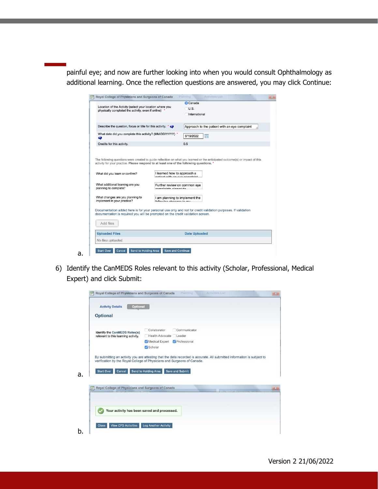painful eye; and now are further looking into when you would consult Ophthalmology as additional learning. Once the reflection questions are answered, you may click Continue:

|                                                                                                                                                                                                              |                             | <b>O</b> Canada                                               |                                               |  |
|--------------------------------------------------------------------------------------------------------------------------------------------------------------------------------------------------------------|-----------------------------|---------------------------------------------------------------|-----------------------------------------------|--|
| Location of the Activity (select your location where you<br>physically completed the activity, even if online)                                                                                               |                             | $\bigcirc$ U.S.                                               |                                               |  |
|                                                                                                                                                                                                              |                             | International                                                 |                                               |  |
|                                                                                                                                                                                                              |                             |                                                               |                                               |  |
| Describe the question, focus or title for this activity. * O                                                                                                                                                 |                             |                                                               | Approach to the patient with an eye complaint |  |
|                                                                                                                                                                                                              |                             |                                                               |                                               |  |
| What date did you complete this activity? (MM/DD/YYYY) *<br>$\bullet$                                                                                                                                        |                             | 6/19/2022                                                     | 圃                                             |  |
| Credits for this activity.                                                                                                                                                                                   |                             | 0.5                                                           |                                               |  |
| activity for your practice. Please respond to at least one of the following questions. *<br>What did you learn or confirm?<br>What additional learning are you                                               | I learned how to approach a | nationt with an our complaint<br>Further review on common eye |                                               |  |
| planning to complete?<br>What changes are you planning to                                                                                                                                                    | complainte alepanida        | I am planning to implement the                                |                                               |  |
| implement in your practice?                                                                                                                                                                                  | following abangan to mu     |                                                               |                                               |  |
| Documentation added here is for your personal use only and not for credit validation purposes. If validation<br>documentation is required you will be prompted on the credit validation screen.<br>Add files |                             |                                                               |                                               |  |
| <b>Uploaded Files</b>                                                                                                                                                                                        |                             | <b>Date Uploaded</b>                                          |                                               |  |
| No files uploaded.                                                                                                                                                                                           |                             |                                                               |                                               |  |
|                                                                                                                                                                                                              |                             |                                                               |                                               |  |

6) Identify the CanMEDS Roles relevant to this activity (Scholar, Professional, Medical Expert) and click Submit:

a.

| <b>Optional</b><br><b>Activity Details</b>                  |                             |              |
|-------------------------------------------------------------|-----------------------------|--------------|
| <b>Optional</b>                                             |                             |              |
|                                                             |                             |              |
| Identify the CanMEDS Roles(s)                               | Collaborator                | Communicator |
| relevant to this learning activity.                         | Health Advocate Leader      |              |
|                                                             | Medical Expert Professional |              |
|                                                             | Scholar                     |              |
|                                                             |                             |              |
| Royal College of Physicians and Surgeons of Canada<br>$E^2$ |                             |              |
| Your activity has been saved and processed.                 |                             |              |